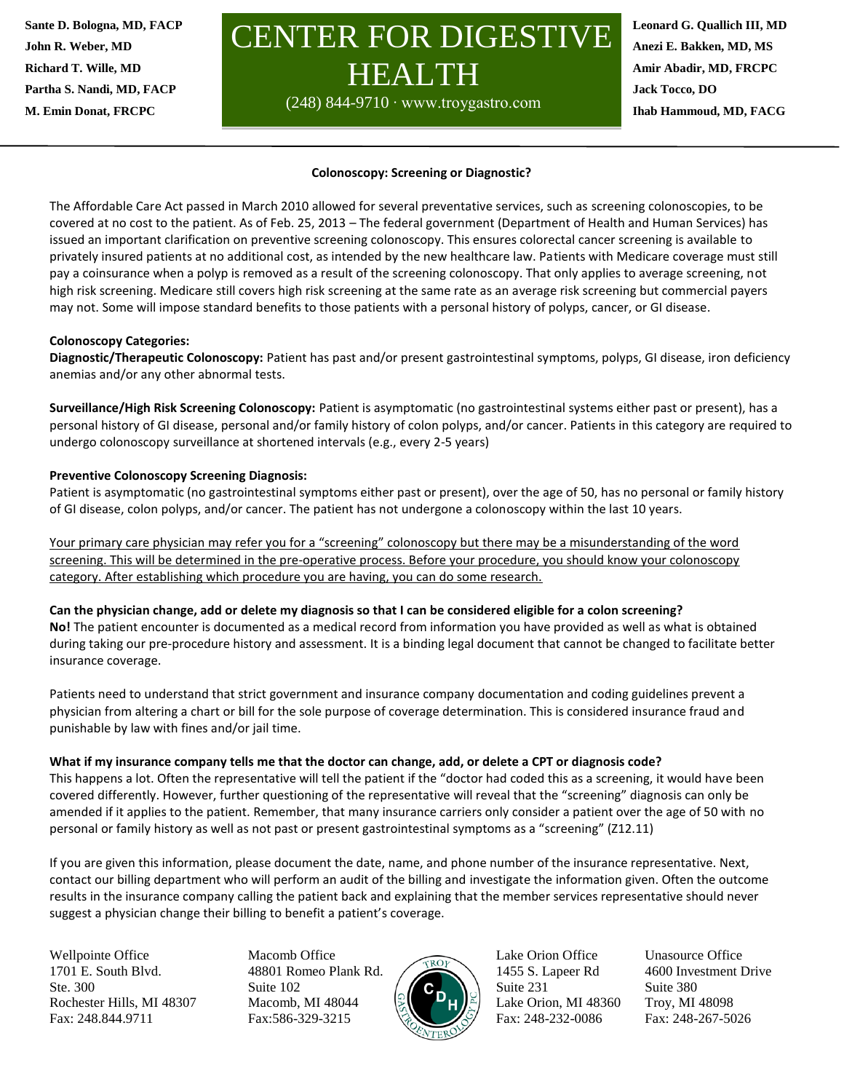**M. Emin Donat, FRCPC Sante D. Bologna, MD, FACP John R. Weber, MD Richard T. Wille, MD Partha S. Nandi, MD, FACP**

# CENTER FOR DIGESTIVE HEALTH

(248) 844-9710 ∙ www.troygastro.com

Fax: (248)267-8347

**Leonard G. Quallich III, MD Anezi E. Bakken, MD, MS Amir Abadir, MD, FRCPC Jack Tocco, DO Ihab Hammoud, MD, FACG**

### **Colonoscopy: Screening or Diagnostic?**

The Affordable Care Act passed in March 2010 allowed for several preventative services, such as screening colonoscopies, to be covered at no cost to the patient. As of Feb. 25, 2013 – The federal government (Department of Health and Human Services) has issued an important clarification on preventive screening colonoscopy. This ensures colorectal cancer screening is available to privately insured patients at no additional cost, as intended by the new healthcare law. Patients with Medicare coverage must still pay a coinsurance when a polyp is removed as a result of the screening colonoscopy. That only applies to average screening, not high risk screening. Medicare still covers high risk screening at the same rate as an average risk screening but commercial payers may not. Some will impose standard benefits to those patients with a personal history of polyps, cancer, or GI disease.

### **Colonoscopy Categories:**

insurance coverage.

**Diagnostic/Therapeutic Colonoscopy:** Patient has past and/or present gastrointestinal symptoms, polyps, GI disease, iron deficiency anemias and/or any other abnormal tests.

**Surveillance/High Risk Screening Colonoscopy:** Patient is asymptomatic (no gastrointestinal systems either past or present), has a personal history of GI disease, personal and/or family history of colon polyps, and/or cancer. Patients in this category are required to undergo colonoscopy surveillance at shortened intervals (e.g., every 2-5 years)

#### **Preventive Colonoscopy Screening Diagnosis:**

Patient is asymptomatic (no gastrointestinal symptoms either past or present), over the age of 50, has no personal or family history of GI disease, colon polyps, and/or cancer. The patient has not undergone a colonoscopy within the last 10 years.

Your primary care physician may refer you for a "screening" colonoscopy but there may be a misunderstanding of the word screening. This will be determined in the pre-operative process. Before your procedure, you should know your colonoscopy category. After establishing which procedure you are having, you can do some research.

## **Can the physician change, add or delete my diagnosis so that I can be considered eligible for a colon screening? No!** The patient encounter is documented as a medical record from information you have provided as well as what is obtained during taking our pre-procedure history and assessment. It is a binding legal document that cannot be changed to facilitate better

Patients need to understand that strict government and insurance company documentation and coding guidelines prevent a physician from altering a chart or bill for the sole purpose of coverage determination. This is considered insurance fraud and punishable by law with fines and/or jail time.

#### **What if my insurance company tells me that the doctor can change, add, or delete a CPT or diagnosis code?**

This happens a lot. Often the representative will tell the patient if the "doctor had coded this as a screening, it would have been covered differently. However, further questioning of the representative will reveal that the "screening" diagnosis can only be amended if it applies to the patient. Remember, that many insurance carriers only consider a patient over the age of 50 with no personal or family history as well as not past or present gastrointestinal symptoms as a "screening" (Z12.11)

If you are given this information, please document the date, name, and phone number of the insurance representative. Next, contact our billing department who will perform an audit of the billing and investigate the information given. Often the outcome results in the insurance company calling the patient back and explaining that the member services representative should never suggest a physician change their billing to benefit a patient's coverage.

Wellpointe Office Macomb Office Lake Orion Office Unasource Office 1701 E. South Blvd. 48801 Romeo Plank Rd. 1455 S. Lapeer Rd 4600 Investment Drive Ste. 300 Suite 102  $\left(\begin{array}{c} \circ \\ \circ \end{array}\right)$  Suite 231 Suite 380 Rochester Hills, MI 48307 Macomb, MI 48044  $\left|\frac{1}{2}\right|$  Lake Orion, MI 48360 Troy, MI 48098 Fax: 248.844.9711 Fax:586-329-3215 Fax: 248-232-0086 Fax: 248-267-5026

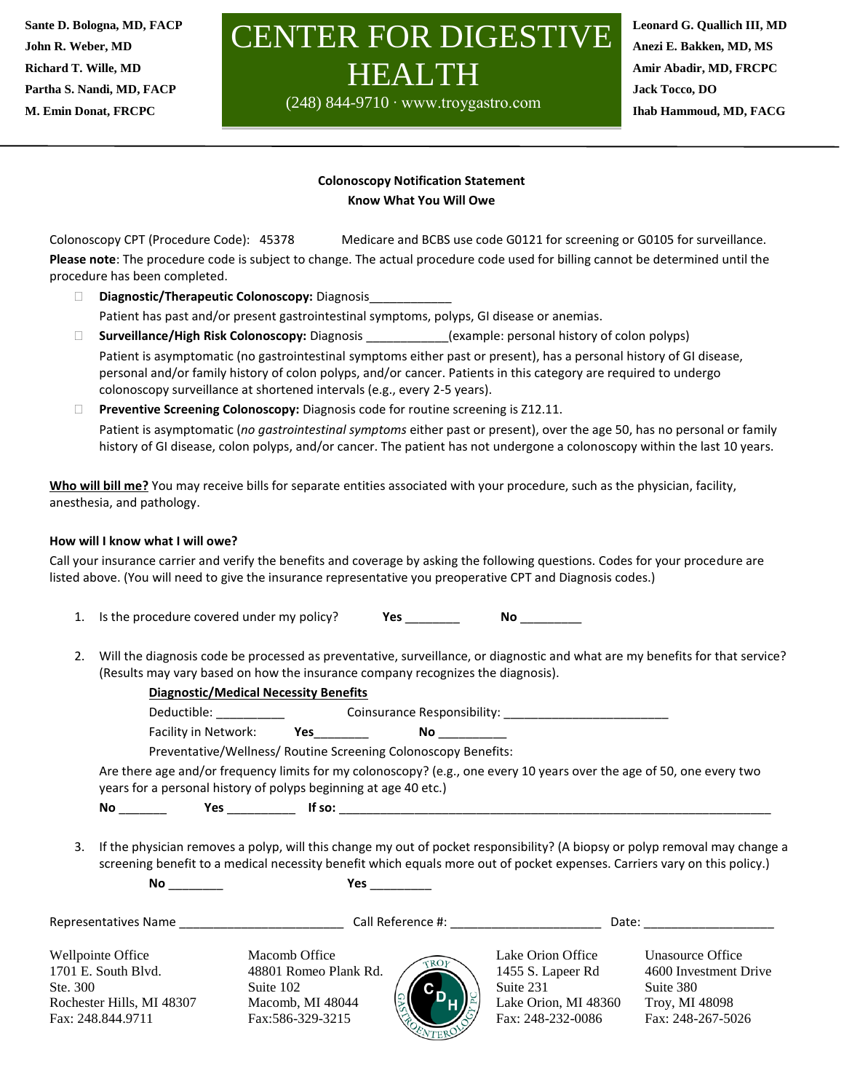**M. Emin Donat, FRCPC Sante D. Bologna, MD, FACP John R. Weber, MD Richard T. Wille, MD Partha S. Nandi, MD, FACP**

# CENTER FOR DIGESTIV HEALTH

(248) 844-9710 ∙ www.troygastro.com

Fax: (248)267-8347

**Leonard G. Quallich III, MD Anezi E. Bakken, MD, MS Amir Abadir, MD, FRCPC Jack Tocco, DO Ihab Hammoud, MD, FACG**

## **Colonoscopy Notification Statement Know What You Will Owe**

Colonoscopy CPT (Procedure Code): 45378 Medicare and BCBS use code G0121 for screening or G0105 for surveillance. **Please note**: The procedure code is subject to change. The actual procedure code used for billing cannot be determined until the procedure has been completed.

- **Diagnostic/Therapeutic Colonoscopy:** Diagnosis\_\_\_\_\_\_\_\_\_\_\_\_ Patient has past and/or present gastrointestinal symptoms, polyps, GI disease or anemias.
- **Surveillance/High Risk Colonoscopy:** Diagnosis \_\_\_\_\_\_\_\_\_\_\_\_(example: personal history of colon polyps) Patient is asymptomatic (no gastrointestinal symptoms either past or present), has a personal history of GI disease, personal and/or family history of colon polyps, and/or cancer. Patients in this category are required to undergo colonoscopy surveillance at shortened intervals (e.g., every 2-5 years).
- **Preventive Screening Colonoscopy:** Diagnosis code for routine screening is Z12.11. Patient is asymptomatic (*no gastrointestinal symptoms* either past or present), over the age 50, has no personal or family history of GI disease, colon polyps, and/or cancer. The patient has not undergone a colonoscopy within the last 10 years.

**Who will bill me?** You may receive bills for separate entities associated with your procedure, such as the physician, facility, anesthesia, and pathology.

## **How will I know what I will owe?**

Call your insurance carrier and verify the benefits and coverage by asking the following questions. Codes for your procedure are listed above. (You will need to give the insurance representative you preoperative CPT and Diagnosis codes.)

- 1. Is the procedure covered under my policy? **Yes** \_\_\_\_\_\_\_\_ **No** \_\_\_\_\_\_\_\_\_
- 2. Will the diagnosis code be processed as preventative, surveillance, or diagnostic and what are my benefits for that service? (Results may vary based on how the insurance company recognizes the diagnosis).

|    |  |                                                                                                                                                                                           | <b>Diagnostic/Medical Necessity Benefits</b>                   |               |                                                                                                                           |                                                                                                                             |
|----|--|-------------------------------------------------------------------------------------------------------------------------------------------------------------------------------------------|----------------------------------------------------------------|---------------|---------------------------------------------------------------------------------------------------------------------------|-----------------------------------------------------------------------------------------------------------------------------|
|    |  |                                                                                                                                                                                           |                                                                |               |                                                                                                                           |                                                                                                                             |
|    |  |                                                                                                                                                                                           | Facility in Network: Yes                                       | No __________ |                                                                                                                           |                                                                                                                             |
|    |  |                                                                                                                                                                                           | Preventative/Wellness/ Routine Screening Colonoscopy Benefits: |               |                                                                                                                           |                                                                                                                             |
|    |  | Are there age and/or frequency limits for my colonoscopy? (e.g., one every 10 years over the age of 50, one every two<br>years for a personal history of polyps beginning at age 40 etc.) |                                                                |               |                                                                                                                           |                                                                                                                             |
|    |  |                                                                                                                                                                                           |                                                                |               |                                                                                                                           |                                                                                                                             |
| 3. |  |                                                                                                                                                                                           |                                                                |               | screening benefit to a medical necessity benefit which equals more out of pocket expenses. Carriers vary on this policy.) | If the physician removes a polyp, will this change my out of pocket responsibility? (A biopsy or polyp removal may change a |
|    |  |                                                                                                                                                                                           |                                                                |               |                                                                                                                           |                                                                                                                             |
|    |  |                                                                                                                                                                                           |                                                                |               |                                                                                                                           |                                                                                                                             |